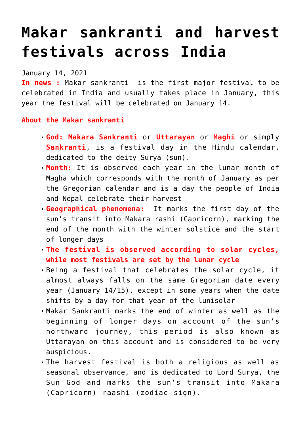## **[Makar sankranti and harvest](https://journalsofindia.com/makar-sankranti-and-harvest-festivals-across-india/) [festivals across India](https://journalsofindia.com/makar-sankranti-and-harvest-festivals-across-india/)**

January 14, 2021

**In news :** Makar sankranti is the first major festival to be celebrated in India and usually takes place in January, this year the festival will be celebrated on January 14.

**About the Makar sankranti**

- **God: Makara Sankranti** or **Uttarayan** or **Maghi** or simply **Sankranti**, is a festival day in the Hindu calendar, dedicated to the deity Surya (sun).
- **Month:** It is observed each year in the lunar month of Magha which corresponds with the month of January as per the Gregorian calendar and is a day the people of India and Nepal celebrate their harvest
- **Geographical phenomena:** It marks the first day of the sun's transit into Makara rashi (Capricorn), marking the end of the month with the winter solstice and the start of longer days
- **The festival is observed according to solar cycles, while most festivals are set by the lunar cycle**
- Being a festival that celebrates the solar cycle, it almost always falls on the same Gregorian date every year (January 14/15), except in some years when the date shifts by a day for that year of the lunisolar
- Makar Sankranti marks the end of winter as well as the beginning of longer days on account of the sun's northward journey, this period is also known as Uttarayan on this account and is considered to be very auspicious.
- The harvest festival is both a religious as well as seasonal observance, and is dedicated to Lord Surya, the Sun God and marks the sun's transit into Makara (Capricorn) raashi (zodiac sign).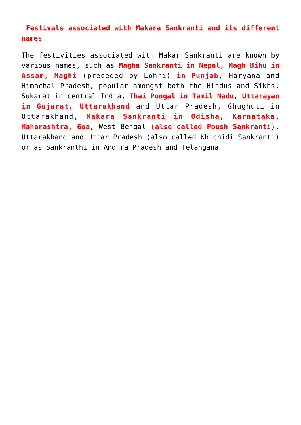## **Festivals associated with Makara Sankranti and its different names**

The festivities associated with Makar Sankranti are known by various names, such as **Magha Sankranti in Nepal, Magh Bihu in Assam, Maghi** (preceded by Lohri) **in Punjab**, Haryana and Himachal Pradesh, popular amongst both the Hindus and Sikhs, Sukarat in central India, **Thai Pongal in Tamil Nadu**, **Uttarayan in Gujarat, Uttarakhand** and Uttar Pradesh, Ghughuti in Uttarakhand, **Makara Sankranti in Odisha, Karnataka, Maharashtra, Goa**, West Bengal **(also called Poush Sankrant**i), Uttarakhand and Uttar Pradesh (also called Khichidi Sankranti) or as Sankranthi in Andhra Pradesh and Telangana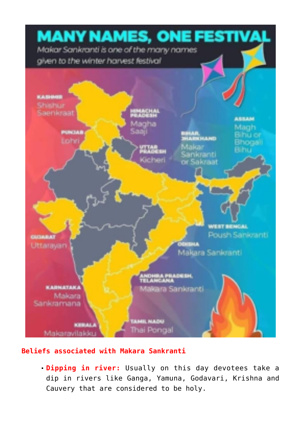

## **Beliefs associated with Makara Sankranti**

**Dipping in river:** Usually on this day devotees take a dip in rivers like Ganga, Yamuna, Godavari, Krishna and Cauvery that are considered to be holy.